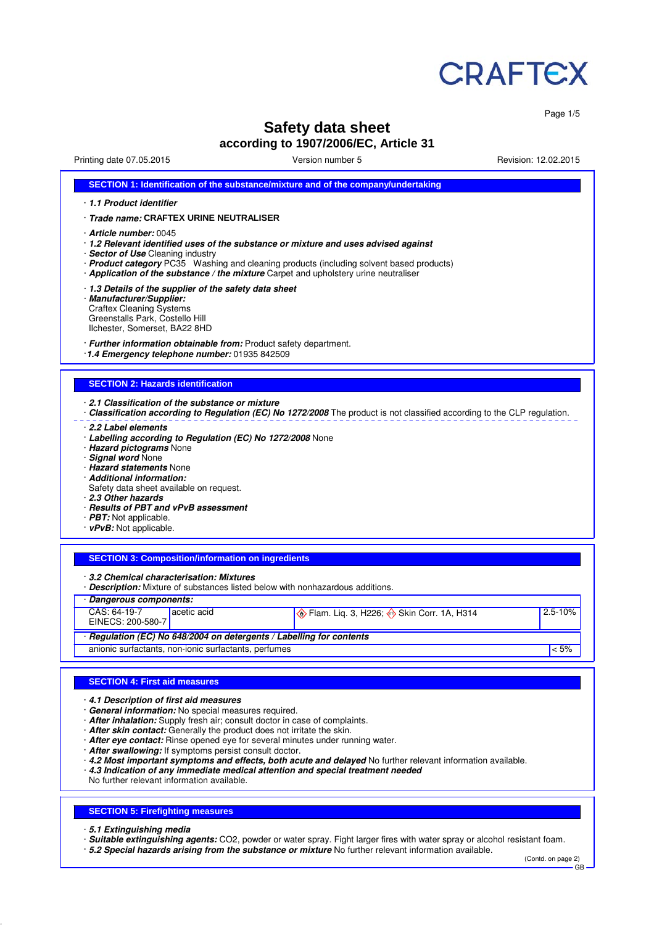

Page 1/5

# **Safety data sheet**

**according to 1907/2006/EC, Article 31**

Printing date 07.05.2015 Version number 5 Revision: 12.02.2015

| SECTION 1: Identification of the substance/mixture and of the company/undertaking                                                                                                                                                                                                                                                                                                                                                                                                                                                        |                                                                                                                           |         |
|------------------------------------------------------------------------------------------------------------------------------------------------------------------------------------------------------------------------------------------------------------------------------------------------------------------------------------------------------------------------------------------------------------------------------------------------------------------------------------------------------------------------------------------|---------------------------------------------------------------------------------------------------------------------------|---------|
| 1.1 Product identifier                                                                                                                                                                                                                                                                                                                                                                                                                                                                                                                   |                                                                                                                           |         |
| · Trade name: CRAFTEX URINE NEUTRALISER                                                                                                                                                                                                                                                                                                                                                                                                                                                                                                  |                                                                                                                           |         |
| $\cdot$ Article number: 0045<br>· 1.2 Relevant identified uses of the substance or mixture and uses advised against<br>· Sector of Use Cleaning industry<br>· Application of the substance / the mixture Carpet and upholstery urine neutraliser                                                                                                                                                                                                                                                                                         | · Product category PC35 Washing and cleaning products (including solvent based products)                                  |         |
| 1.3 Details of the supplier of the safety data sheet<br>· Manufacturer/Supplier:<br><b>Craftex Cleaning Systems</b><br>Greenstalls Park, Costello Hill<br>Ilchester, Somerset, BA22 8HD                                                                                                                                                                                                                                                                                                                                                  |                                                                                                                           |         |
| · Further information obtainable from: Product safety department.<br>1.4 Emergency telephone number: 01935 842509                                                                                                                                                                                                                                                                                                                                                                                                                        |                                                                                                                           |         |
| <b>SECTION 2: Hazards identification</b>                                                                                                                                                                                                                                                                                                                                                                                                                                                                                                 |                                                                                                                           |         |
| 2.1 Classification of the substance or mixture                                                                                                                                                                                                                                                                                                                                                                                                                                                                                           | · Classification according to Regulation (EC) No 1272/2008 The product is not classified according to the CLP regulation. |         |
| · Labelling according to Regulation (EC) No 1272/2008 None<br>· Hazard pictograms None<br>· Signal word None<br>· Hazard statements None<br>· Additional information:<br>Safety data sheet available on request.                                                                                                                                                                                                                                                                                                                         |                                                                                                                           |         |
| 2.3 Other hazards<br>· Results of PBT and vPvB assessment<br>$\cdot$ <b>PBT:</b> Not applicable.<br>$\cdot$ vPvB: Not applicable.                                                                                                                                                                                                                                                                                                                                                                                                        |                                                                                                                           |         |
| <b>SECTION 3: Composition/information on ingredients</b>                                                                                                                                                                                                                                                                                                                                                                                                                                                                                 |                                                                                                                           |         |
| 3.2 Chemical characterisation: Mixtures<br>· Description: Mixture of substances listed below with nonhazardous additions.                                                                                                                                                                                                                                                                                                                                                                                                                |                                                                                                                           |         |
| · Dangerous components:                                                                                                                                                                                                                                                                                                                                                                                                                                                                                                                  |                                                                                                                           |         |
| CAS: 64-19-7<br>acetic acid<br>EINECS: 200-580-7                                                                                                                                                                                                                                                                                                                                                                                                                                                                                         | Elam. Liq. 3, H226; Skin Corr. 1A, H314                                                                                   | 2.5-10% |
|                                                                                                                                                                                                                                                                                                                                                                                                                                                                                                                                          |                                                                                                                           |         |
| · Regulation (EC) No 648/2004 on detergents / Labelling for contents<br>anionic surfactants, non-ionic surfactants, perfumes                                                                                                                                                                                                                                                                                                                                                                                                             |                                                                                                                           | $< 5\%$ |
|                                                                                                                                                                                                                                                                                                                                                                                                                                                                                                                                          |                                                                                                                           |         |
| <b>SECTION 4: First aid measures</b>                                                                                                                                                                                                                                                                                                                                                                                                                                                                                                     |                                                                                                                           |         |
| 4.1 Description of first aid measures<br>· General information: No special measures required.<br>After inhalation: Supply fresh air; consult doctor in case of complaints.<br>· After skin contact: Generally the product does not irritate the skin.<br>After eye contact: Rinse opened eye for several minutes under running water.<br>· After swallowing: If symptoms persist consult doctor.<br>$\cdot$ 4.3 Indication of any immediate medical attention and special treatment needed<br>No further relevant information available. | · 4.2 Most important symptoms and effects, both acute and delayed No further relevant information available.              |         |
|                                                                                                                                                                                                                                                                                                                                                                                                                                                                                                                                          |                                                                                                                           |         |
| <b>SECTION 5: Firefighting measures</b>                                                                                                                                                                                                                                                                                                                                                                                                                                                                                                  |                                                                                                                           |         |

· **5.2 Special hazards arising from the substance or mixture** No further relevant information available.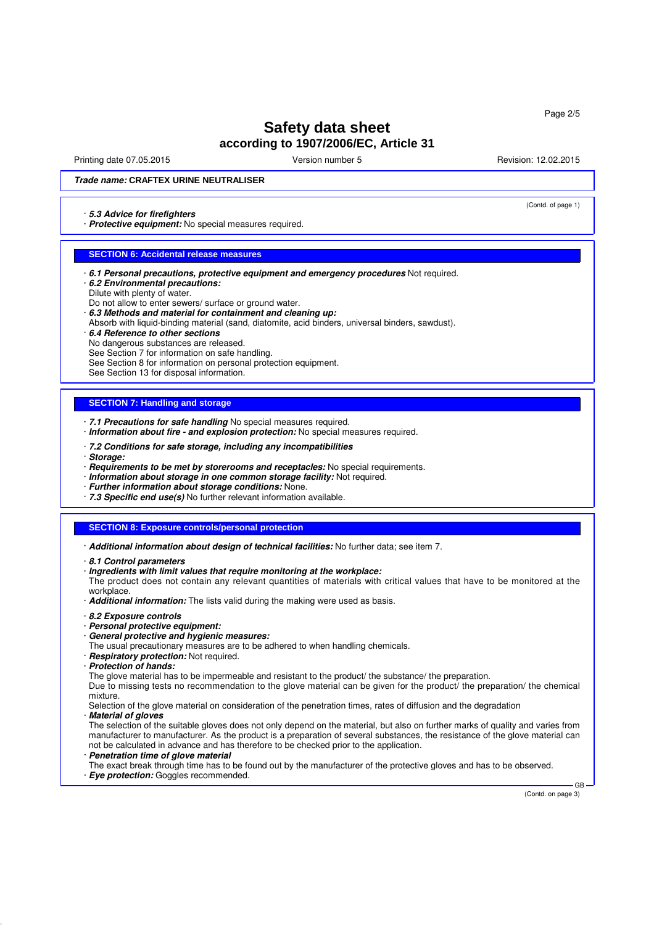Printing date 07.05.2015 **Principal and COVID-12.02.2015** Version number 5 Revision: 12.02.2015

(Contd. of page 1)

### **Trade name: CRAFTEX URINE NEUTRALISER**

#### · **5.3 Advice for firefighters**

· **Protective equipment:** No special measures required.

#### **SECTION 6: Accidental release measures**

- · **6.1 Personal precautions, protective equipment and emergency procedures** Not required.
- · **6.2 Environmental precautions:**
- Dilute with plenty of water.
- Do not allow to enter sewers/ surface or ground water.
- · **6.3 Methods and material for containment and cleaning up:** Absorb with liquid-binding material (sand, diatomite, acid binders, universal binders, sawdust).
- · **6.4 Reference to other sections**
- No dangerous substances are released.
- See Section 7 for information on safe handling.
- See Section 8 for information on personal protection equipment.
- See Section 13 for disposal information.

#### **SECTION 7: Handling and storage**

- · **7.1 Precautions for safe handling** No special measures required.
- · **Information about fire and explosion protection:** No special measures required.
- · **7.2 Conditions for safe storage, including any incompatibilities**
- · **Storage:**
- · **Requirements to be met by storerooms and receptacles:** No special requirements.
- · **Information about storage in one common storage facility:** Not required.
- · **Further information about storage conditions:** None.
- · **7.3 Specific end use(s)** No further relevant information available.

#### **SECTION 8: Exposure controls/personal protection**

- · **Additional information about design of technical facilities:** No further data; see item 7.
- · **8.1 Control parameters**
- · **Ingredients with limit values that require monitoring at the workplace:**
- The product does not contain any relevant quantities of materials with critical values that have to be monitored at the workplace
- · **Additional information:** The lists valid during the making were used as basis.
- · **8.2 Exposure controls**
- · **Personal protective equipment:**
- · **General protective and hygienic measures:**
- The usual precautionary measures are to be adhered to when handling chemicals.
- · **Respiratory protection:** Not required.
- · **Protection of hands:**

The glove material has to be impermeable and resistant to the product/ the substance/ the preparation.

Due to missing tests no recommendation to the glove material can be given for the product/ the preparation/ the chemical mixture.

Selection of the glove material on consideration of the penetration times, rates of diffusion and the degradation · **Material of gloves**

The selection of the suitable gloves does not only depend on the material, but also on further marks of quality and varies from manufacturer to manufacturer. As the product is a preparation of several substances, the resistance of the glove material can not be calculated in advance and has therefore to be checked prior to the application. **Penetration time of glove material** 

The exact break through time has to be found out by the manufacturer of the protective gloves and has to be observed.

· **Eye protection:** Goggles recommended.

(Contd. on page 3)

GB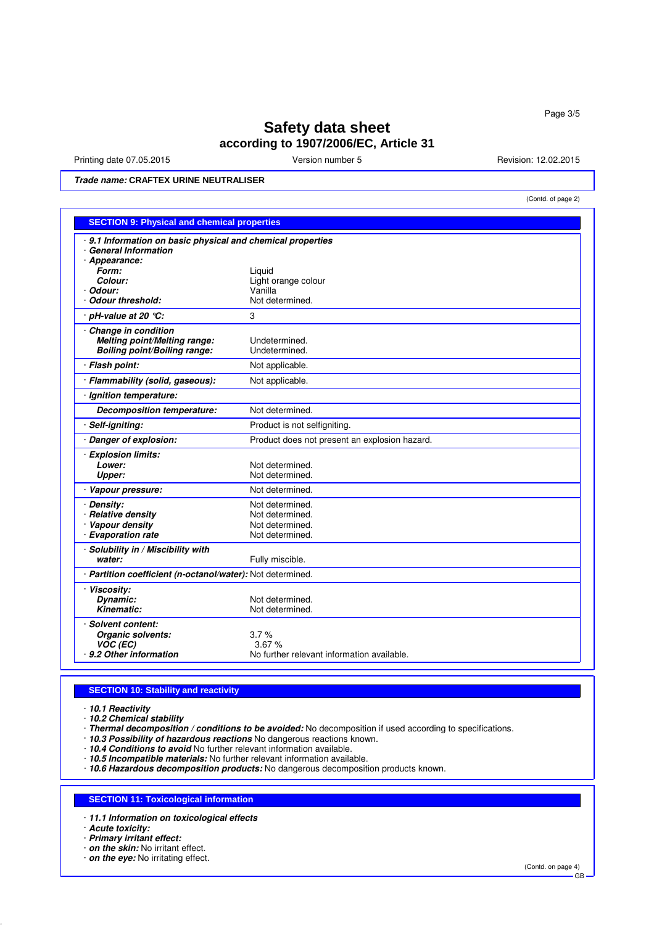Printing date 07.05.2015 **Version number 5** Nevision: 12.02.2015 **Revision: 12.02.2015** 

(Contd. of page 2)

**Trade name: CRAFTEX URINE NEUTRALISER**

| <b>SECTION 9: Physical and chemical properties</b>          |                                                     |  |
|-------------------------------------------------------------|-----------------------------------------------------|--|
| · 9.1 Information on basic physical and chemical properties |                                                     |  |
| <b>General Information</b>                                  |                                                     |  |
| · Appearance:<br>Form:                                      | Liguid                                              |  |
| Colour:                                                     | Light orange colour                                 |  |
| Odour:                                                      | Vanilla                                             |  |
| <b>Odour threshold:</b>                                     | Not determined.                                     |  |
| pH-value at 20 $°C$ :                                       | 3                                                   |  |
| Change in condition                                         |                                                     |  |
| Melting point/Melting range:                                | Undetermined.                                       |  |
| <b>Boiling point/Boiling range:</b>                         | Undetermined.                                       |  |
| · Flash point:                                              | Not applicable.                                     |  |
| · Flammability (solid, gaseous):                            | Not applicable.                                     |  |
| Ignition temperature:                                       |                                                     |  |
| Decomposition temperature:                                  | Not determined.                                     |  |
| Self-igniting:                                              | Product is not selfigniting.                        |  |
| Danger of explosion:                                        | Product does not present an explosion hazard.       |  |
| <b>Explosion limits:</b>                                    |                                                     |  |
| Lower:                                                      | Not determined.                                     |  |
| <b>Upper:</b>                                               | Not determined.                                     |  |
| Vapour pressure:                                            | Not determined.                                     |  |
| · Density:                                                  | Not determined.                                     |  |
| <b>Relative density</b>                                     | Not determined.                                     |  |
| · Vapour density                                            | Not determined.                                     |  |
| <b>Evaporation rate</b>                                     | Not determined.                                     |  |
| · Solubility in / Miscibility with                          |                                                     |  |
| water:                                                      | Fully miscible.                                     |  |
| · Partition coefficient (n-octanol/water): Not determined.  |                                                     |  |
| · Viscosity:                                                |                                                     |  |
| Dynamic:<br>Kinematic:                                      | Not determined.                                     |  |
|                                                             | Not determined.                                     |  |
| <b>Solvent content:</b>                                     |                                                     |  |
| Organic solvents:                                           | 3.7%                                                |  |
| VOC (EC)<br>9.2 Other information                           | 3.67%<br>No further relevant information available. |  |
|                                                             |                                                     |  |

# **SECTION 10: Stability and reactivity**

· **10.1 Reactivity**

· **10.2 Chemical stability**

· **Thermal decomposition / conditions to be avoided:** No decomposition if used according to specifications.

· **10.3 Possibility of hazardous reactions** No dangerous reactions known.

· **10.4 Conditions to avoid** No further relevant information available.

· **10.5 Incompatible materials:** No further relevant information available.

· **10.6 Hazardous decomposition products:** No dangerous decomposition products known.

# **SECTION 11: Toxicological information**

· **11.1 Information on toxicological effects**

· **Acute toxicity:**

· **Primary irritant effect:**

· **on the skin:** No irritant effect.

· **on the eye:** No irritating effect.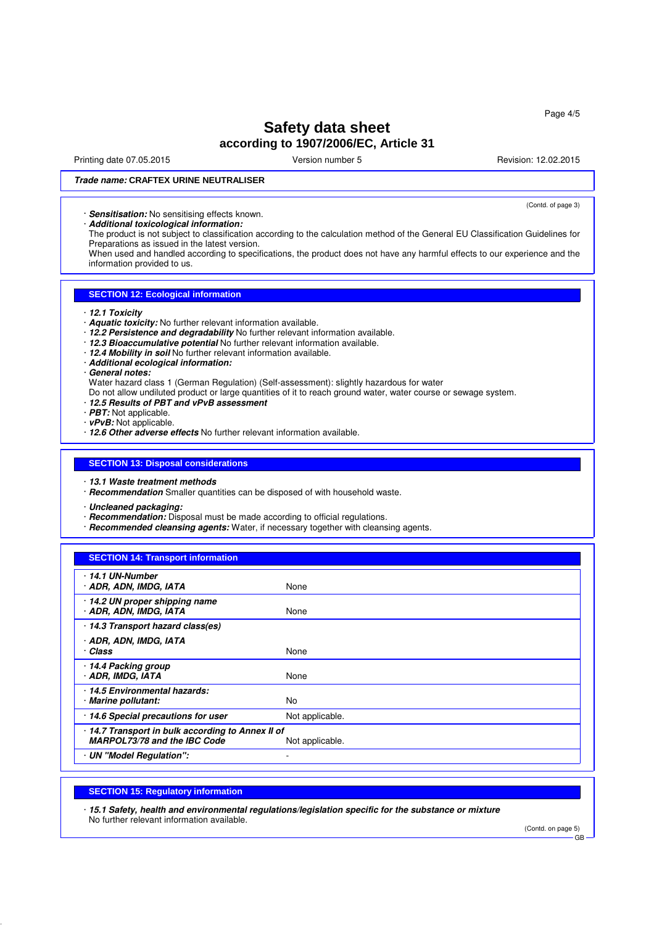Printing date 07.05.2015 **Principal and COVID-12.02.2015** Version number 5 Revision: 12.02.2015

(Contd. of page 3)

# **Trade name: CRAFTEX URINE NEUTRALISER**

· **Sensitisation:** No sensitising effects known.

· **Additional toxicological information:**

The product is not subject to classification according to the calculation method of the General EU Classification Guidelines for Preparations as issued in the latest version.

When used and handled according to specifications, the product does not have any harmful effects to our experience and the information provided to us.

# **SECTION 12: Ecological information**

- · **12.1 Toxicity**
- · **Aquatic toxicity:** No further relevant information available.
- · **12.2 Persistence and degradability** No further relevant information available.
- · **12.3 Bioaccumulative potential** No further relevant information available.
- · **12.4 Mobility in soil** No further relevant information available.
- · **Additional ecological information:**
- · **General notes:**
- Water hazard class 1 (German Regulation) (Self-assessment): slightly hazardous for water
- Do not allow undiluted product or large quantities of it to reach ground water, water course or sewage system.
- · **12.5 Results of PBT and vPvB assessment**
- · **PBT:** Not applicable.
- · **vPvB:** Not applicable.
- · **12.6 Other adverse effects** No further relevant information available.

#### **SECTION 13: Disposal considerations**

- · **13.1 Waste treatment methods**
- · **Recommendation** Smaller quantities can be disposed of with household waste.
- · **Uncleaned packaging:**
- · **Recommendation:** Disposal must be made according to official regulations.
- · **Recommended cleansing agents:** Water, if necessary together with cleansing agents.

# **SECTION 14: Transport information**

| 14.1 UN-Number<br>· ADR, ADN, IMDG, IATA                                          | None            |
|-----------------------------------------------------------------------------------|-----------------|
| 14.2 UN proper shipping name<br>· ADR, ADN, IMDG, IATA                            | None            |
| · 14.3 Transport hazard class(es)                                                 |                 |
| · ADR, ADN, IMDG, IATA<br>· Class                                                 | None            |
| · 14.4 Packing group<br>· ADR, IMDG, IATA                                         | None            |
| 14.5 Environmental hazards:<br>· Marine pollutant:                                | No              |
| 14.6 Special precautions for user                                                 | Not applicable. |
| · 14.7 Transport in bulk according to Annex II of<br>MARPOL73/78 and the IBC Code | Not applicable. |
| · UN "Model Regulation":                                                          |                 |

# **SECTION 15: Regulatory information**

· **15.1 Safety, health and environmental regulations/legislation specific for the substance or mixture** No further relevant information available.

(Contd. on page 5)

GB